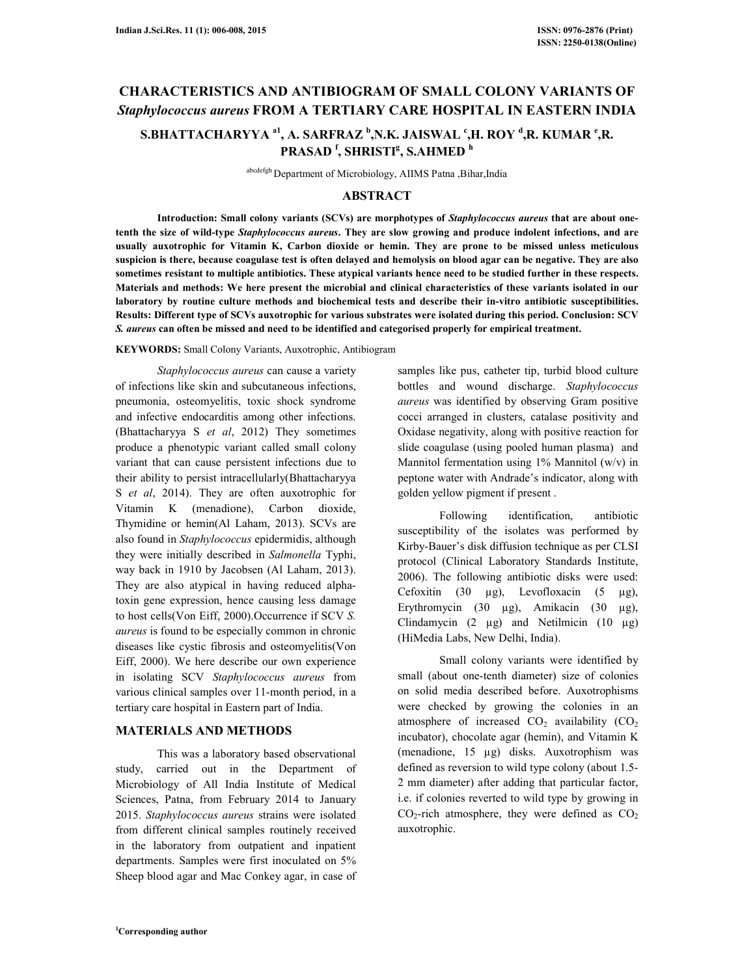# **CHARACTERISTICS AND ANTIBIOGRAM OF SMALL COLONY VARIANTS OF**  *Staphylococcus aureus* **FROM A TERTIARY CARE HOSPITAL IN EASTERN INDIA**

## **S.BHATTACHARYYA a1, A. SARFRAZ <sup>b</sup> ,N.K. JAISWAL <sup>c</sup> ,H. ROY <sup>d</sup> ,R. KUMAR <sup>e</sup> ,R. PRASAD <sup>f</sup> , SHRISTI<sup>g</sup> , S.AHMED <sup>h</sup>**

abcdefgh Department of Microbiology, AIIMS Patna ,Bihar,India

### **ABSTRACT**

 **Introduction: Small colony variants (SCVs) are morphotypes of** *Staphylococcus aureus* **that are about onetenth the size of wild-type** *Staphylococcus aureus***. They are slow growing and produce indolent infections, and are usually auxotrophic for Vitamin K, Carbon dioxide or hemin. They are prone to be missed unless meticulous suspicion is there, because coagulase test is often delayed and hemolysis on blood agar can be negative. They are also sometimes resistant to multiple antibiotics. These atypical variants hence need to be studied further in these respects. Materials and methods: We here present the microbial and clinical characteristics of these variants isolated in our laboratory by routine culture methods and biochemical tests and describe their in-vitro antibiotic susceptibilities. Results: Different type of SCVs auxotrophic for various substrates were isolated during this period. Conclusion: SCV**  *S. aureus* **can often be missed and need to be identified and categorised properly for empirical treatment.** 

#### **KEYWORDS:** Small Colony Variants, Auxotrophic, Antibiogram

 *Staphylococcus aureus* can cause a variety of infections like skin and subcutaneous infections, pneumonia, osteomyelitis, toxic shock syndrome and infective endocarditis among other infections. (Bhattacharyya S *et al*, 2012) They sometimes produce a phenotypic variant called small colony variant that can cause persistent infections due to their ability to persist intracellularly(Bhattacharyya S *et al*, 2014). They are often auxotrophic for Vitamin K (menadione), Carbon dioxide, Thymidine or hemin(Al Laham, 2013). SCVs are also found in *Staphylococcus* epidermidis, although they were initially described in *Salmonella* Typhi, way back in 1910 by Jacobsen (Al Laham, 2013). They are also atypical in having reduced alphatoxin gene expression, hence causing less damage to host cells(Von Eiff, 2000).Occurrence if SCV *S. aureus* is found to be especially common in chronic diseases like cystic fibrosis and osteomyelitis(Von Eiff, 2000). We here describe our own experience in isolating SCV *Staphylococcus aureus* from various clinical samples over 11-month period, in a tertiary care hospital in Eastern part of India.

## **MATERIALS AND METHODS**

 This was a laboratory based observational study, carried out in the Department of Microbiology of All India Institute of Medical Sciences, Patna, from February 2014 to January 2015. *Staphylococcus aureus* strains were isolated from different clinical samples routinely received in the laboratory from outpatient and inpatient departments. Samples were first inoculated on 5% Sheep blood agar and Mac Conkey agar, in case of

samples like pus, catheter tip, turbid blood culture bottles and wound discharge. *Staphylococcus aureus* was identified by observing Gram positive cocci arranged in clusters, catalase positivity and Oxidase negativity, along with positive reaction for slide coagulase (using pooled human plasma) and Mannitol fermentation using  $1\%$  Mannitol (w/v) in peptone water with Andrade's indicator, along with golden yellow pigment if present .

 Following identification, antibiotic susceptibility of the isolates was performed by Kirby-Bauer's disk diffusion technique as per CLSI protocol (Clinical Laboratory Standards Institute, 2006). The following antibiotic disks were used: Cefoxitin (30  $\mu$ g), Levofloxacin (5  $\mu$ g), Erythromycin (30 µg), Amikacin (30 µg), Clindamycin  $(2 \mu g)$  and Netilmicin  $(10 \mu g)$ (HiMedia Labs, New Delhi, India).

 Small colony variants were identified by small (about one-tenth diameter) size of colonies on solid media described before. Auxotrophisms were checked by growing the colonies in an atmosphere of increased  $CO<sub>2</sub>$  availability  $(CO<sub>2</sub>)$ incubator), chocolate agar (hemin), and Vitamin K (menadione, 15 µg) disks. Auxotrophism was defined as reversion to wild type colony (about 1.5- 2 mm diameter) after adding that particular factor, i.e. if colonies reverted to wild type by growing in  $CO<sub>2</sub>$ -rich atmosphere, they were defined as  $CO<sub>2</sub>$ auxotrophic.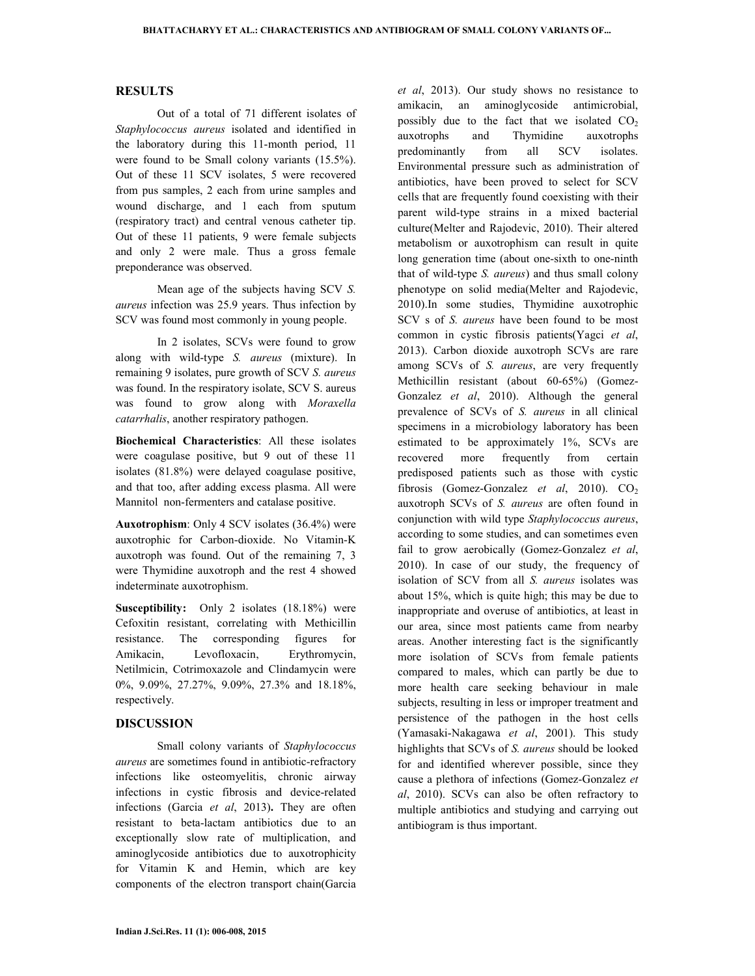#### **RESULTS**

 Out of a total of 71 different isolates of *Staphylococcus aureus* isolated and identified in the laboratory during this 11-month period, 11 were found to be Small colony variants (15.5%). Out of these 11 SCV isolates, 5 were recovered from pus samples, 2 each from urine samples and wound discharge, and 1 each from sputum (respiratory tract) and central venous catheter tip. Out of these 11 patients, 9 were female subjects and only 2 were male. Thus a gross female preponderance was observed.

 Mean age of the subjects having SCV *S. aureus* infection was 25.9 years. Thus infection by SCV was found most commonly in young people.

 In 2 isolates, SCVs were found to grow along with wild-type *S. aureus* (mixture). In remaining 9 isolates, pure growth of SCV *S. aureus* was found. In the respiratory isolate, SCV S. aureus was found to grow along with *Moraxella catarrhalis*, another respiratory pathogen.

**Biochemical Characteristics**: All these isolates were coagulase positive, but 9 out of these 11 isolates (81.8%) were delayed coagulase positive, and that too, after adding excess plasma. All were Mannitol non-fermenters and catalase positive.

**Auxotrophism**: Only 4 SCV isolates (36.4%) were auxotrophic for Carbon-dioxide. No Vitamin-K auxotroph was found. Out of the remaining 7, 3 were Thymidine auxotroph and the rest 4 showed indeterminate auxotrophism.

**Susceptibility:** Only 2 isolates (18.18%) were Cefoxitin resistant, correlating with Methicillin resistance. The corresponding figures for Amikacin, Levofloxacin, Erythromycin, Netilmicin, Cotrimoxazole and Clindamycin were 0%, 9.09%, 27.27%, 9.09%, 27.3% and 18.18%, respectively.

#### **DISCUSSION**

Small colony variants of *Staphylococcus aureus* are sometimes found in antibiotic-refractory infections like osteomyelitis, chronic airway infections in cystic fibrosis and device-related infections (Garcia *et al*, 2013)**.** They are often resistant to beta-lactam antibiotics due to an exceptionally slow rate of multiplication, and aminoglycoside antibiotics due to auxotrophicity for Vitamin K and Hemin, which are key components of the electron transport chain(Garcia

*et al*, 2013). Our study shows no resistance to amikacin, an aminoglycoside antimicrobial, possibly due to the fact that we isolated  $CO<sub>2</sub>$ auxotrophs and Thymidine auxotrophs predominantly from all SCV isolates. Environmental pressure such as administration of antibiotics, have been proved to select for SCV cells that are frequently found coexisting with their parent wild-type strains in a mixed bacterial culture(Melter and Rajodevic, 2010). Their altered metabolism or auxotrophism can result in quite long generation time (about one-sixth to one-ninth that of wild-type *S. aureus*) and thus small colony phenotype on solid media(Melter and Rajodevic, 2010).In some studies, Thymidine auxotrophic SCV s of *S. aureus* have been found to be most common in cystic fibrosis patients(Yagci *et al*, 2013). Carbon dioxide auxotroph SCVs are rare among SCVs of *S. aureus*, are very frequently Methicillin resistant (about 60-65%) (Gomez-Gonzalez *et al*, 2010). Although the general prevalence of SCVs of *S. aureus* in all clinical specimens in a microbiology laboratory has been estimated to be approximately 1%, SCVs are recovered more frequently from certain predisposed patients such as those with cystic fibrosis (Gomez-Gonzalez *et al*, 2010).  $CO<sub>2</sub>$ auxotroph SCVs of *S. aureus* are often found in conjunction with wild type *Staphylococcus aureus*, according to some studies, and can sometimes even fail to grow aerobically (Gomez-Gonzalez *et al*, 2010). In case of our study, the frequency of isolation of SCV from all *S. aureus* isolates was about 15%, which is quite high; this may be due to inappropriate and overuse of antibiotics, at least in our area, since most patients came from nearby areas. Another interesting fact is the significantly more isolation of SCVs from female patients compared to males, which can partly be due to more health care seeking behaviour in male subjects, resulting in less or improper treatment and persistence of the pathogen in the host cells (Yamasaki-Nakagawa *et al*, 2001). This study highlights that SCVs of *S. aureus* should be looked for and identified wherever possible, since they cause a plethora of infections (Gomez-Gonzalez *et al*, 2010). SCVs can also be often refractory to multiple antibiotics and studying and carrying out antibiogram is thus important.